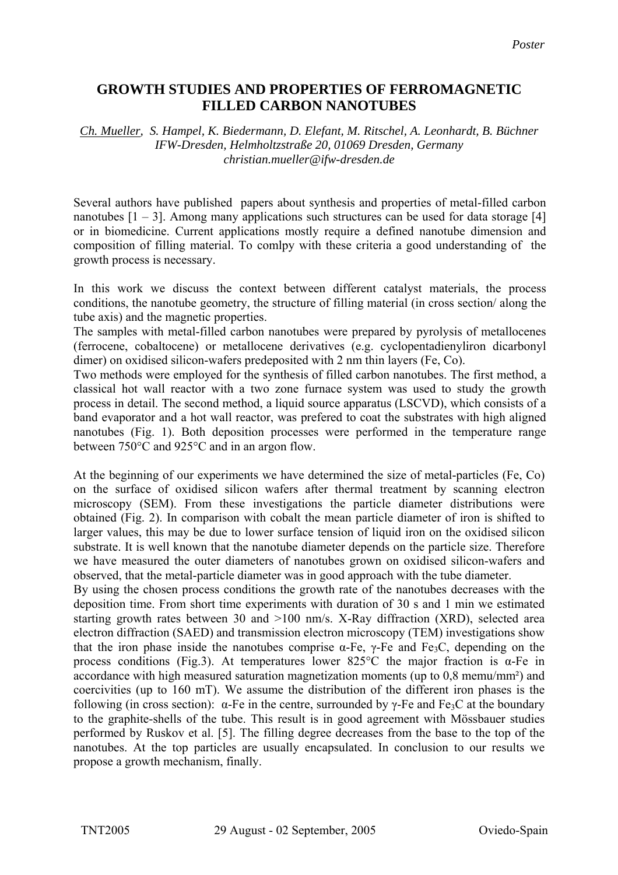## **GROWTH STUDIES AND PROPERTIES OF FERROMAGNETIC FILLED CARBON NANOTUBES**

## *Ch. Mueller, S. Hampel, K. Biedermann, D. Elefant, M. Ritschel, A. Leonhardt, B. Büchner IFW-Dresden, Helmholtzstraße 20, 01069 Dresden, Germany christian.mueller@ifw-dresden.de*

Several authors have published papers about synthesis and properties of metal-filled carbon nanotubes  $[1 - 3]$ . Among many applications such structures can be used for data storage [4] or in biomedicine. Current applications mostly require a defined nanotube dimension and composition of filling material. To comlpy with these criteria a good understanding of the growth process is necessary.

In this work we discuss the context between different catalyst materials, the process conditions, the nanotube geometry, the structure of filling material (in cross section/ along the tube axis) and the magnetic properties.

The samples with metal-filled carbon nanotubes were prepared by pyrolysis of metallocenes (ferrocene, cobaltocene) or metallocene derivatives (e.g. cyclopentadienyliron dicarbonyl dimer) on oxidised silicon-wafers predeposited with 2 nm thin layers (Fe, Co).

Two methods were employed for the synthesis of filled carbon nanotubes. The first method, a classical hot wall reactor with a two zone furnace system was used to study the growth process in detail. The second method, a liquid source apparatus (LSCVD), which consists of a band evaporator and a hot wall reactor, was prefered to coat the substrates with high aligned nanotubes (Fig. 1). Both deposition processes were performed in the temperature range between 750°C and 925°C and in an argon flow.

At the beginning of our experiments we have determined the size of metal-particles (Fe, Co) on the surface of oxidised silicon wafers after thermal treatment by scanning electron microscopy (SEM). From these investigations the particle diameter distributions were obtained (Fig. 2). In comparison with cobalt the mean particle diameter of iron is shifted to larger values, this may be due to lower surface tension of liquid iron on the oxidised silicon substrate. It is well known that the nanotube diameter depends on the particle size. Therefore we have measured the outer diameters of nanotubes grown on oxidised silicon-wafers and observed, that the metal-particle diameter was in good approach with the tube diameter.

By using the chosen process conditions the growth rate of the nanotubes decreases with the deposition time. From short time experiments with duration of 30 s and 1 min we estimated starting growth rates between 30 and >100 nm/s. X-Ray diffraction (XRD), selected area electron diffraction (SAED) and transmission electron microscopy (TEM) investigations show that the iron phase inside the nanotubes comprise  $\alpha$ -Fe,  $\gamma$ -Fe and Fe<sub>3</sub>C, depending on the process conditions (Fig.3). At temperatures lower 825<sup>o</sup>C the major fraction is  $\alpha$ -Fe in accordance with high measured saturation magnetization moments (up to 0,8 memu/mm²) and coercivities (up to 160 mT). We assume the distribution of the different iron phases is the following (in cross section):  $\alpha$ -Fe in the centre, surrounded by  $\gamma$ -Fe and Fe<sub>3</sub>C at the boundary to the graphite-shells of the tube. This result is in good agreement with Mössbauer studies performed by Ruskov et al. [5]. The filling degree decreases from the base to the top of the nanotubes. At the top particles are usually encapsulated. In conclusion to our results we propose a growth mechanism, finally.